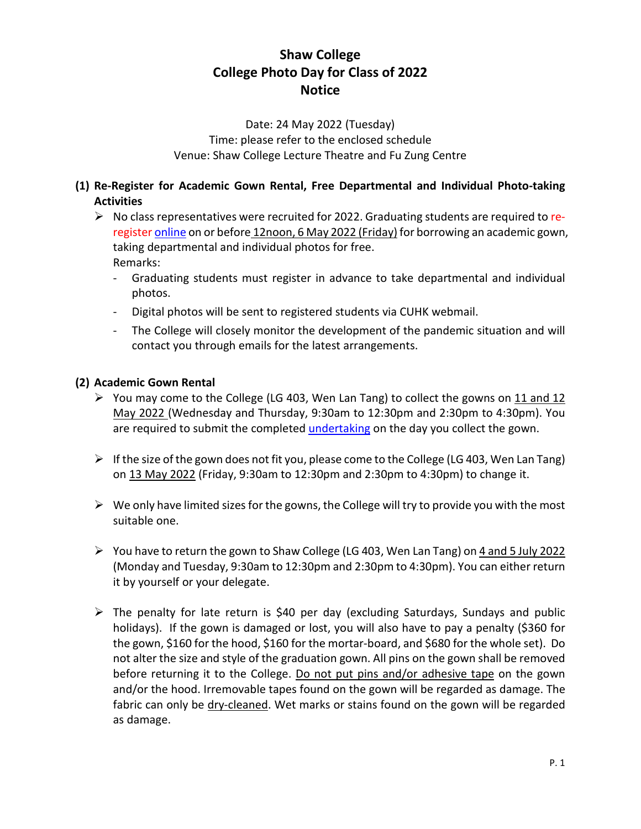# **Shaw College College Photo Day for Class of 2022 Notice**

Date: 24 May 2022 (Tuesday) Time: please refer to the enclosed schedule Venue: Shaw College Lecture Theatre and Fu Zung Centre

## **(1) Re-Register for Academic Gown Rental, Free Departmental and Individual Photo-taking Activities**

- $\triangleright$  No class representatives were recruited for 2022. Graduating students are required to reregiste[r online](https://cloud.itsc.cuhk.edu.hk/webform/view.php?id=13648925) on or before 12noon, 6 May 2022 (Friday) for borrowing an academic gown, taking departmental and individual photos for free. Remarks:
	- Graduating students must register in advance to take departmental and individual photos.
	- Digital photos will be sent to registered students via CUHK webmail.
	- The College will closely monitor the development of the pandemic situation and will contact you through emails for the latest arrangements.

## **(2) Academic Gown Rental**

- You may come to the College (LG 403, Wen Lan Tang) to collect the gowns on  $11$  and  $12$ May 2022 (Wednesday and Thursday, 9:30am to 12:30pm and 2:30pm to 4:30pm). You are required to submit the completed [undertaking](https://www.shaw.cuhk.edu.hk/sites/default/files/share/files/college_life/graduation-activities/Undertaking_Gown2022_E.pdf) on the day you collect the gown.
- $\triangleright$  If the size of the gown does not fit you, please come to the College (LG 403, Wen Lan Tang) on 13 May 2022 (Friday, 9:30am to 12:30pm and 2:30pm to 4:30pm) to change it.
- $\triangleright$  We only have limited sizes for the gowns, the College will try to provide you with the most suitable one.
- $\triangleright$  You have to return the gown to Shaw College (LG 403, Wen Lan Tang) on 4 and 5 July 2022 (Monday and Tuesday, 9:30am to 12:30pm and 2:30pm to 4:30pm). You can either return it by yourself or your delegate.
- $\triangleright$  The penalty for late return is \$40 per day (excluding Saturdays, Sundays and public holidays). If the gown is damaged or lost, you will also have to pay a penalty (\$360 for the gown, \$160 for the hood, \$160 for the mortar-board, and \$680 for the whole set). Do not alter the size and style of the graduation gown. All pins on the gown shall be removed before returning it to the College. Do not put pins and/or adhesive tape on the gown and/or the hood. Irremovable tapes found on the gown will be regarded as damage. The fabric can only be dry-cleaned. Wet marks or stains found on the gown will be regarded as damage.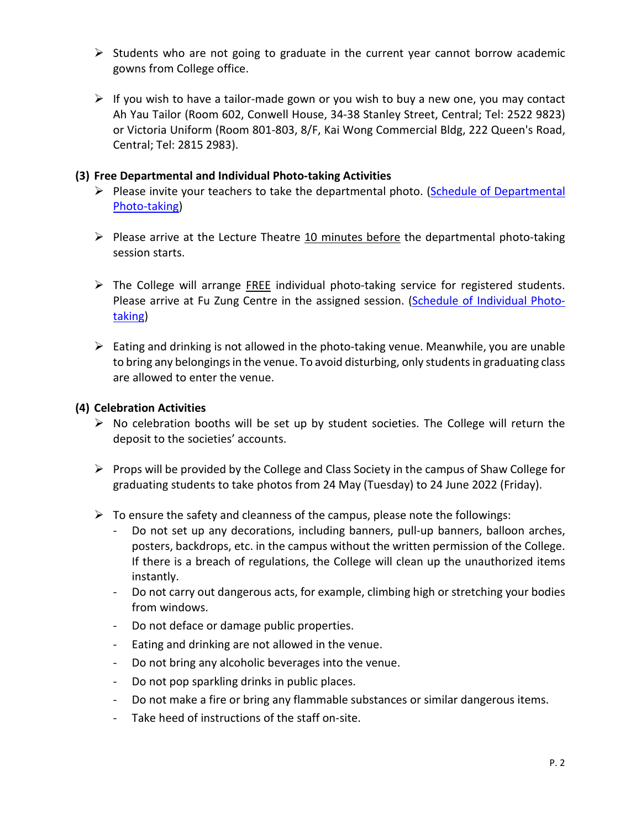- $\triangleright$  Students who are not going to graduate in the current year cannot borrow academic gowns from College office.
- $\triangleright$  If you wish to have a tailor-made gown or you wish to buy a new one, you may contact Ah Yau Tailor (Room 602, Conwell House, 34-38 Stanley Street, Central; Tel: 2522 9823) or Victoria Uniform (Room 801-803, 8/F, Kai Wong Commercial Bldg, 222 Queen's Road, Central; Tel: 2815 2983).

### **(3) Free Departmental and Individual Photo-taking Activities**

- $\triangleright$  Please invite your teachers to take the departmental photo. (Schedule of Departmental [Photo-taking\)](https://www.shaw.cuhk.edu.hk/sites/default/files/share/files/college_life/graduation-activities/Schedule_department_E.pdf)
- $\triangleright$  Please arrive at the Lecture Theatre 10 minutes before the departmental photo-taking session starts.
- $\triangleright$  The College will arrange FREE individual photo-taking service for registered students. Please arrive at Fu Zung Centre in the assigned session. (Schedule [of Individual Photo](https://www.shaw.cuhk.edu.hk/sites/default/files/share/files/college_life/graduation-activities/Schedule_individual_E.pdf)[taking\)](https://www.shaw.cuhk.edu.hk/sites/default/files/share/files/college_life/graduation-activities/Schedule_individual_E.pdf)
- $\triangleright$  Eating and drinking is not allowed in the photo-taking venue. Meanwhile, you are unable to bring any belongings in the venue. To avoid disturbing, only students in graduating class are allowed to enter the venue.

#### **(4) Celebration Activities**

- $\triangleright$  No celebration booths will be set up by student societies. The College will return the deposit to the societies' accounts.
- $\triangleright$  Props will be provided by the College and Class Society in the campus of Shaw College for graduating students to take photos from 24 May (Tuesday) to 24 June 2022 (Friday).
- $\triangleright$  To ensure the safety and cleanness of the campus, please note the followings:
	- Do not set up any decorations, including banners, pull-up banners, balloon arches, posters, backdrops, etc. in the campus without the written permission of the College. If there is a breach of regulations, the College will clean up the unauthorized items instantly.
	- Do not carry out dangerous acts, for example, climbing high or stretching your bodies from windows.
	- Do not deface or damage public properties.
	- Eating and drinking are not allowed in the venue.
	- Do not bring any alcoholic beverages into the venue.
	- Do not pop sparkling drinks in public places.
	- Do not make a fire or bring any flammable substances or similar dangerous items.
	- Take heed of instructions of the staff on-site.